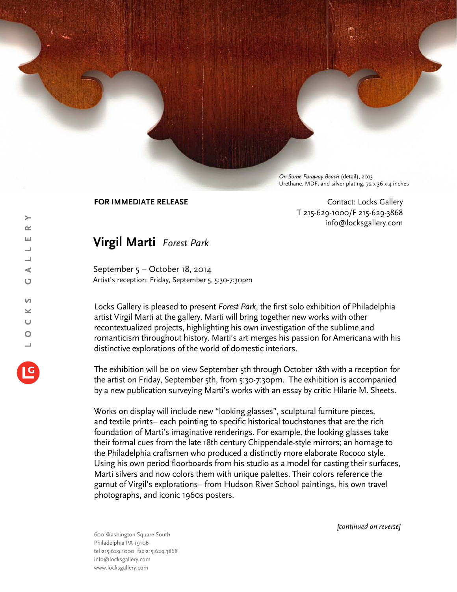*On Some Faraway Beach* (detail), 2013 Urethane, MDF, and silver plating, 72 x 36 x 4 inches

**FOR IMMEDIATE RELEASE CONTACT SEE ASSESS CONTACT CONTACT CONTACT CONTACT** T 215-629-1000/F 215-629-3868 info@locksgallery.com

## **Virgil Marti** *Forest Park*

September 5 – October 18, 2014 Artist's reception: Friday, September 5, 5:30-7:30pm

Locks Gallery is pleased to present *Forest Park*, the first solo exhibition of Philadelphia artist Virgil Marti at the gallery. Marti will bring together new works with other recontextualized projects, highlighting his own investigation of the sublime and romanticism throughout history. Marti's art merges his passion for Americana with his distinctive explorations of the world of domestic interiors.

The exhibition will be on view September 5th through October 18th with a reception for the artist on Friday, September 5th, from 5:30-7:30pm. The exhibition is accompanied by a new publication surveying Marti's works with an essay by critic Hilarie M. Sheets.

Works on display will include new "looking glasses", sculptural furniture pieces, and textile prints– each pointing to specific historical touchstones that are the rich foundation of Marti's imaginative renderings. For example, the looking glasses take their formal cues from the late 18th century Chippendale-style mirrors; an homage to the Philadelphia craftsmen who produced a distinctly more elaborate Rococo style. Using his own period floorboards from his studio as a model for casting their surfaces, Marti silvers and now colors them with unique palettes. Their colors reference the gamut of Virgil's explorations– from Hudson River School paintings, his own travel photographs, and iconic 1960s posters.

600 Washington Square South Philadelphia PA 19106 tel 215.629.1000 fax 215.629.3868 info@locksgallery.com www.locksgallery.com

*[continued on reverse]*